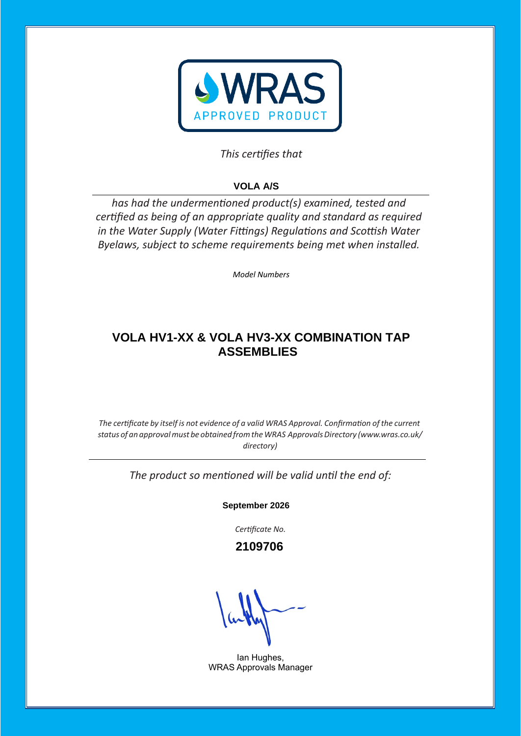

## This certifies that

# **VOLA A/S**

has had the undermentioned product(s) examined, tested and certified as being of an appropriate quality and standard as required *in the Water Supply (Water Fittings) Regulations and Scottish Water Byelaws, subject to scheme requirements being met when installed.* 

*Model Numbers* 

## **VOLA HV1-XX & VOLA HV3-XX COMBINATION TAP ASSEMBLIES**

*The certificate by itself is not evidence of a valid WRAS Approval. Confirmation of the current status of an approvalmust be obtained fromtheWRAS ApprovalsDirectory [\(www.wras.co.uk/](http://www.wras.co.uk/directory)) [directory\)](http://www.wras.co.uk/directory))*

The product so mentioned will be valid until the end of:

**September 2026**

Certificate No.

 **2109706**

Ian Hughes, WRAS Approvals Manager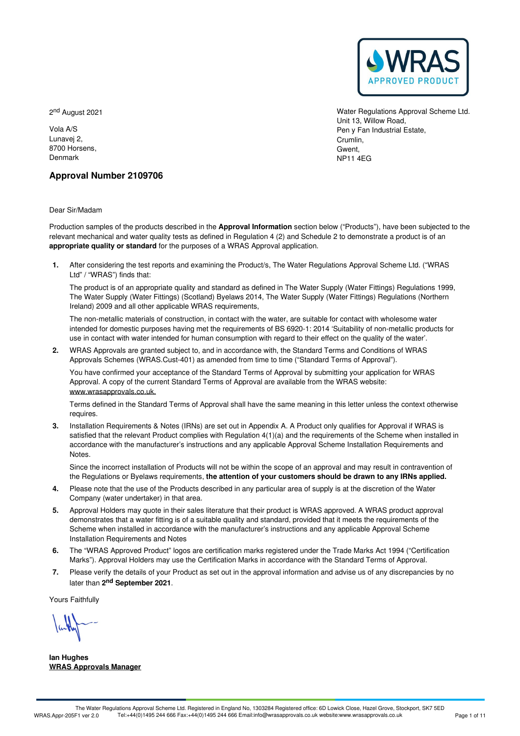

2<sup>nd</sup> August 2021

Vola A/S Lunavej 2, 8700 Horsens, Denmark

Water Regulations Approval Scheme Ltd. Unit 13, Willow Road, Pen y Fan Industrial Estate, Crumlin, Gwent, NP11 4EG

## **Approval Number 2109706**

Dear Sir/Madam

Production samples of the products described in the **Approval Information** section below ("Products"), have been subjected to the relevant mechanical and water quality tests as defined in Regulation 4 (2) and Schedule 2 to demonstrate a product is of an **appropriate quality or standard** for the purposes of a WRAS Approval application.

After considering the test reports and examining the Product/s, The Water Regulations Approval Scheme Ltd. ("WRAS **1.** Ltd" / "WRAS") finds that:

The product is of an appropriate quality and standard as defined in The Water Supply (Water Fittings) Regulations 1999, The Water Supply (Water Fittings) (Scotland) Byelaws 2014, The Water Supply (Water Fittings) Regulations (Northern Ireland) 2009 and all other applicable WRAS requirements,

The non-metallic materials of construction, in contact with the water, are suitable for contact with wholesome water intended for domestic purposes having met the requirements of BS 6920-1:2014 'Suitability of non-metallic products for use in contact with water intended for human consumption with regard to their effect on the quality of the water'.

WRAS Approvals are granted subject to, and in accordance with, the Standard Terms and Conditions of WRAS **2.** Approvals Schemes (WRAS.Cust-401) as amended from time to time ("Standard Terms of Approval").

You have confirmed your acceptance of the Standard Terms of Approval by submitting your application for WRAS Approval. A copy of the current Standard Terms of Approval are available from the WRAS website: [www.wrasapprovals.co.uk.](https://www.wrasapprovals.co.uk)

Terms defined in the Standard Terms of Approval shall have the same meaning in this letter unless the context otherwise requires.

Installation Requirements & Notes (IRNs) are set out in Appendix A. A Product only qualifies for Approval if WRAS is **3.** satisfied that the relevant Product complies with Regulation  $4(1)(a)$  and the requirements of the Scheme when installed in accordance with the manufacturer's instructions and any applicable Approval Scheme Installation Requirements and Notes.

Since the incorrect installation of Products will not be within the scope of an approval and may result in contravention of the Regulations or Byelaws requirements, **the attention of your customers should be drawn to any IRNs applied.**

- Please note that the use of the Products described in any particular area of supply is at the discretion of the Water Company (water undertaker) in that area. **4.**
- 5. Approval Holders may quote in their sales literature that their product is WRAS approved. A WRAS product approval demonstrates that a water fitting is of a suitable quality and standard, provided that it meets the requirements of the Scheme when installed in accordance with the manufacturer's instructions and any applicable Approval Scheme Installation Requirements and Notes
- The "WRAS Approved Product" logos are certification marks registered under the Trade Marks Act 1994 ("Certification 6. The "WRAS Approved Product" logos are certification marks registered under the Trade Marks Act 1994 ("Certification Marks"). Approval. Marks act approval.
- Please verify the details of your Product as set out in the approval information and advise us of any discrepancies by no 7. Please verify the details of your Produ<br>later than 2<sup>nd</sup> September 2021.

Yours Faithfully

**Ian Hughes WRAS Approvals Manager**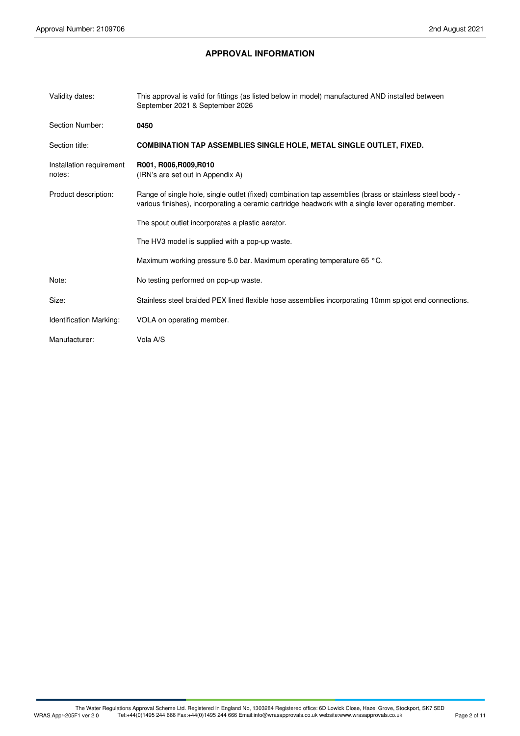## **APPROVAL INFORMATION**

| Validity dates:                    | This approval is valid for fittings (as listed below in model) manufactured AND installed between<br>September 2021 & September 2026                                                                           |
|------------------------------------|----------------------------------------------------------------------------------------------------------------------------------------------------------------------------------------------------------------|
| Section Number:                    | 0450                                                                                                                                                                                                           |
| Section title:                     | <b>COMBINATION TAP ASSEMBLIES SINGLE HOLE, METAL SINGLE OUTLET, FIXED.</b>                                                                                                                                     |
| Installation requirement<br>notes: | R001, R006, R009, R010<br>(IRN's are set out in Appendix A)                                                                                                                                                    |
| Product description:               | Range of single hole, single outlet (fixed) combination tap assemblies (brass or stainless steel body -<br>various finishes), incorporating a ceramic cartridge headwork with a single lever operating member. |
|                                    | The spout outlet incorporates a plastic aerator.                                                                                                                                                               |
|                                    | The HV3 model is supplied with a pop-up waste.                                                                                                                                                                 |
|                                    | Maximum working pressure 5.0 bar. Maximum operating temperature 65 °C.                                                                                                                                         |
| Note:                              | No testing performed on pop-up waste.                                                                                                                                                                          |
| Size:                              | Stainless steel braided PEX lined flexible hose assemblies incorporating 10mm spigot end connections.                                                                                                          |
| <b>Identification Marking:</b>     | VOLA on operating member.                                                                                                                                                                                      |
| Manufacturer:                      | Vola A/S                                                                                                                                                                                                       |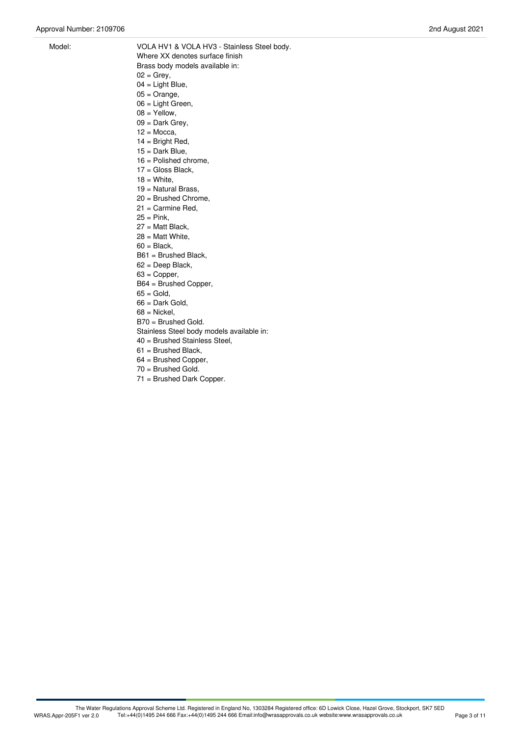- Model: VOLA HV1 & VOLA HV3 Stainless Steel body. Where XX denotes surface finish Brass body models available in:
	- $02 =$  Grey,  $04 =$  Light Blue,
	- $05 =$ Orange,
	- 06 = Light Green,
	- $08 =$  Yellow,
	- $09 =$  Dark Grey,
	- $12 = Mocca$ ,
	- $14 =$  Bright Red,
	- 15 = Dark Blue,
	- 16 = Polished chrome,
	- 17 = Gloss Black,
	- $18 =$  White.
	- 19 = Natural Brass,
	- 20 = Brushed Chrome,
	- 21 = Carmine Red,
	- $25 =$  Pink,
	- 27 = Matt Black,
	- 28 = Matt White,
	- $60 = Black$ .
	- B61 = Brushed Black,
	- 62 = Deep Black,
	- $63$  = Copper,
	- B64 = Brushed Copper,
	- $65 =$  Gold,
	- $66$  = Dark Gold,
	- $68$  = Nickel.
	- B70 = Brushed Gold.
	- Stainless Steel body models available in:
	- 40 = Brushed Stainless Steel,
	- 61 = Brushed Black,
	- $64 =$  Brushed Copper,<br> $70 =$  Brushed Gold.
	-
	- $71 =$  Brushed Dark Copper.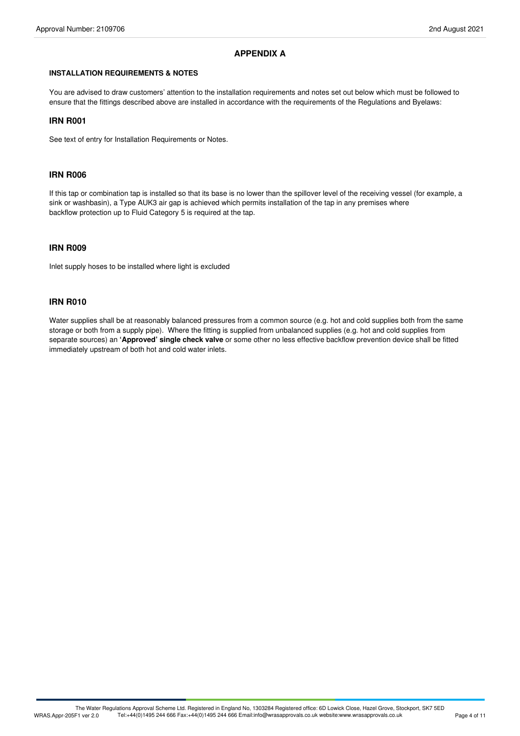## **APPENDIX A**

#### **INSTALLATION REQUIREMENTS & NOTES**

You are advised to draw customers' attention to the installation requirements and notes set out below which must be followed to ensure that the fittings described above are installed in accordance with the requirements of the Regulations and Byelaws:

## **IRN R001**

See text of entry for Installation Requirements or Notes.

#### **IRN R006**

If this tap or combination tap is installed so that its base is no lower than the spillover level of the receiving vessel(for example, a sink or washbasin), a Type AUK3 air gap is achieved which permits installation of the tap in any premises where backflow protection up to Fluid Category 5 is required at the tap.

## **IRN R009**

Inlet supply hoses to be installed where light is excluded

### **IRN R010**

Water supplies shall be at reasonably balanced pressures from a common source (e.g. hot and cold supplies both from the same storage or both from a supply pipe). Where the fitting is supplied from unbalanced supplies (e.g. hot and cold supplies from separate sources) an **'Approved' single check valve** or some other no less effective backflow prevention device shall be fitted immediately upstream of both hot and cold water inlets.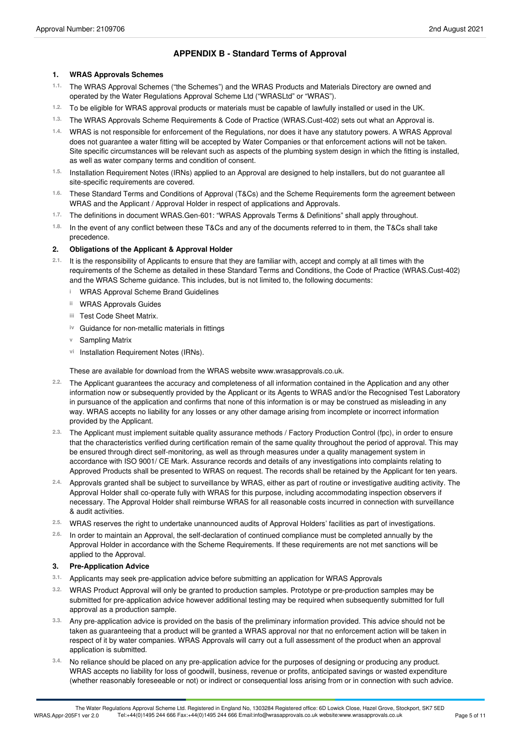## **APPENDIX B - Standard Terms of Approval**

#### **1. WRAS Approvals Schemes**

- The WRAS Approval Schemes ("the Schemes") and the WRAS Products and Materials Directory are owned and operated by the Water Regulations Approval Scheme Ltd ("WRASLtd" or "WRAS"). **1.1.**
- 1.2. To be eligible for WRAS approval products or materials must be capable of lawfully installed or used in the UK.
- The WRAS Approvals Scheme Requirements & Code of Practice (WRAS.Cust-402) sets out what an Approval is. **1.3.**
- WRAS is not responsible for enforcement of the Regulations, nor does it have any statutory powers. A WRAS Approval **1.4.** does not guarantee a water fitting will be accepted by Water Companies or that enforcement actions will not be taken. Site specific circumstances will be relevant such as aspects of the plumbing system design in which the fitting is installed, as well as water company terms and condition of consent.
- Installation Requirement Notes (IRNs) applied to an Approval are designed to help installers, but do not guarantee all site-specific requirements are covered. **1.5.**
- These Standard Terms and Conditions of Approval (T&Cs) and the Scheme Requirements form the agreement between WRAS and the Applicant / Approval Holder in respect of applications and Approvals. **1.6.**
- The definitions in document WRAS.Gen-601: "WRAS Approvals Terms & Definitions" shall apply throughout. **1.7.**
- <sup>1.8.</sup> In the event of any conflict between these T&Cs and any of the documents referred to in them, the T&Cs shall take<br>precedence.

#### **2. Obligations of the Applicant & Approval Holder**

- 2.1. It is the responsibility of Applicants to ensure that they are familiar with, accept and comply at all times with the requirements of the Scheme as detailed in these Standard Terms and Conditions, the Code of Practice (WRAS.Cust-402) and the WRAS Scheme guidance. This includes, but is not limited to, the following documents:
	- **i** WRAS Approval Scheme Brand Guidelines
	- **ii** WRAS Approvals Guides
	- Test Code Sheet Matrix. **iii**
	- **iv** Guidance for non-metallic materials in fittings
	- **v** Sampling Matrix
	- vi Installation Requirement Notes (IRNs).

These are available for download from the WRAS website www.wrasapprovals.co.uk.

- The Applicant guarantees the accuracy and completeness of all information contained in the Application and any other information now or subsequently provided by the Applicant or its Agents to WRAS and/or the Recognised Test Laboratory in pursuance of the application and confirms that none of this information is or may be construed as misleading in any way. WRAS accepts no liability for any losses or any other damage arising from incomplete or incorrect information provided by the Applicant. **2.2.**
- The Applicant must implement suitable quality assurance methods / Factory Production Control (fpc), in order to ensure **2.3.** that the characteristics verified during certification remain of the same quality throughout the period of approval. This may be ensured through direct self-monitoring, as well as through measures under a quality management system in accordance with ISO 9001/ CE Mark. Assurance records and details of any investigations into complaints relating to Approved Products shall be presented to WRAS on request. The records shall be retained by the Applicant for ten years.
- Approvals granted shall be subject to surveillance by WRAS, either as part of routine or investigative auditing activity. The Approval Holder shall co-operate fully with WRAS for this purpose, including accommodating inspection observers if necessary. The Approval Holder shall reimburse WRAS for all reasonable costs incurred in connection with surveillance & audit activities. **2.4.**
- WRAS reserves the right to undertake unannounced audits of Approval Holders' facilities as part of investigations. **2.5.**
- In order to maintain an Approval, the self-declaration of continued compliance must be completed annually by the Approval Holder in accordance with the Scheme Requirements. If these requirements are not met sanctions will be applied to the Approval. **2.6.**

## **3. Pre-Application Advice**

- **3.1.** Applicants may seek pre-application advice before submitting an application for WRAS Approvals
- WRAS Product Approval will only be granted to production samples. Prototype or pre-production samples may be submitted for pre-application advice however additional testing may be required when subsequently submitted for full approval as a production sample. **3.2.**
- Any pre-application advice is provided on the basis of the preliminary information provided. This advice should not be taken as guaranteeing that a product will be granted a WRAS approval nor that no enforcement action will be taken in respect of it by water companies. WRAS Approvals will carry out a full assessment of the product when an approval application is submitted. **3.3.**
- No reliance should be placed on any pre-application advice for the purposes of designing or producing any product. WRAS accepts no liability for loss of goodwill, business, revenue or profits, anticipated savings or wasted expenditure (whether reasonably foreseeable or not) or indirect or consequential loss arising from or in connection with such advice. **3.4.**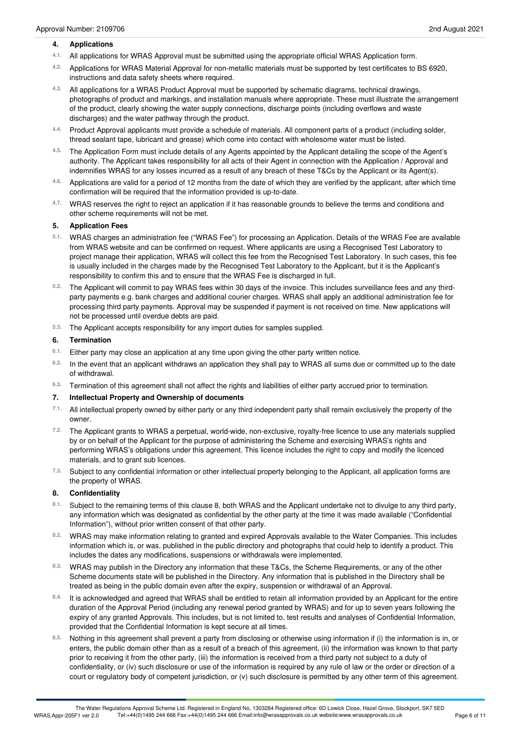#### **4. Applications**

- All applications for WRAS Approval must be submitted using the appropriate officialWRAS Application form. **4.1.**
- Applications for WRAS Material Approval for non-metallic materials must be supported by test certificates to BS 6920, instructions and data safety sheets where required. **4.2.**
- All applications for a WRAS Product Approval must be supported by schematic diagrams, technical drawings, photographs of product and markings, and installation manuals where appropriate. These must illustrate the arrangement of the product, clearly showing the water supply connections, discharge points (including overflows and waste discharges) and the water pathway through the product. **4.3.**
- 4.4. Product Approval applicants must provide a schedule of materials. All component parts of a product (including solder,<br>thread sealant tape, lubricant and grease) which come into contact with wholesome water must be lis
- The Application Form must include details of any Agents appointed by the Applicant detailing the scope of the Agent's **4.5.** authority. The Applicant takes responsibility for all acts of their Agent in connection with the Application / Approval and indemnifies WRAS for any losses incurred as a result of any breach of these T&Cs by the Applicant or its Agent(s).
- Applications are valid for a period of 12 months from the date of which they are verified by the applicant, after which time 4.6. Applications are valid for a period of 12 months from the date of which t confirmation will be required that the information provided is up-to-date.
- WRAS reserves the right to reject an application if it has reasonable grounds to believe the terms and conditions and other scheme requirements will not be met. **4.7.**

#### **5. Application Fees**

- WRAS charges an administration fee ("WRAS Fee") for processing an Application. Details of the WRAS Fee are available **5.1.** from WRAS website and can be confirmed on request. Where applicants are using a Recognised Test Laboratory to project manage their application, WRAS will collect this fee from the Recognised Test Laboratory. In such cases, this fee is usually included in the charges made by the Recognised Test Laboratory to the Applicant, but it is the Applicant's responsibility to confirm this and to ensure that the WRAS Fee is discharged in full.
- The Applicant will commit to pay WRAS fees within 30 days of the invoice. This includes surveillance fees and any third- **5.2.** party payments e.g. bank charges and additional courier charges. WRAS shall apply an additional administration fee for processing third party payments. Approval may be suspended if payment is not received on time. New applications will not be processed until overdue debts are paid.
- The Applicant accepts responsibility for any import duties for samples supplied. **5.3.**

#### **6. Termination**

- Either party may close an application at any time upon giving the other party written notice. **6.1.**
- <sup>6.2.</sup> In the event that an applicant withdraws an application they shall pay to WRAS all sums due or committed up to the date<br>of withdrawal.
- Termination of this agreement shall not affect the rights and liabilities of either party accrued prior to termination. **6.3.**

#### **7. Intellectual Property and Ownership of documents**

- All intellectual property owned by either party or any third independent party shall remain exclusively the property of the owner. **7.1.**
- The Applicant grants to WRAS a perpetual, world-wide, non-exclusive, royalty-free licence to use any materials supplied **7.2.** by or on behalf of the Applicant for the purpose of administering the Scheme and exercising WRAS's rights and performing WRAS's obligations under this agreement. This licence includes the right to copy and modify the licenced materials, and to grant sub licences.
- <sup>7.3.</sup> Subject to any confidential information or other intellectual property belonging to the Applicant, all application forms are<br>the property of WRAS.

#### **8. Confidentiality**

- 8.1. Subject to the remaining terms of this clause 8, both WRAS and the Applicant undertake not to divulge to any third party, any information which was designated as confidential by the other party at the time it was made available ("Confidential Information"), without prior written consent of that other party.
- WRAS may make information relating to granted and expired Approvals available to the Water Companies. This includes **8.2.** information which is, or was, published in the public directory and photographs that could help to identify a product. This includes the dates any modifications, suspensions or withdrawals were implemented.
- WRAS may publish in the Directory any information that these T&Cs, the Scheme Requirements, or any of the other **8.3.** Scheme documents state will be published in the Directory. Any information that is published in the Directory shall be treated as being in the public domain even after the expiry, suspension or withdrawal of an Approval.
- It is acknowledged and agreed that WRAS shall be entitled to retain all information provided by an Applicant for the entire duration of the Approval Period (including any renewal period granted by WRAS) and for up to seven years following the expiry of any granted Approvals. This includes, but is not limited to, test results and analyses of Confidential Information, provided that the Confidential Information is kept secure at all times. **8.4.**
- Nothing in this agreement shall prevent a party from disclosing or otherwise using information if (i) the information is in, or enters, the public domain other than as a result of a breach of this agreement, (ii) the information was known to that party prior to receiving it from the other party, (iii) the information is received from a third party not subject to a duty of confidentiality, or (iv) such disclosure or use of the information is required by any rule of law or the order or direction of a court or regulatory body of competent jurisdiction, or (v) such disclosure is permitted by any other term of this agreement. **8.5.**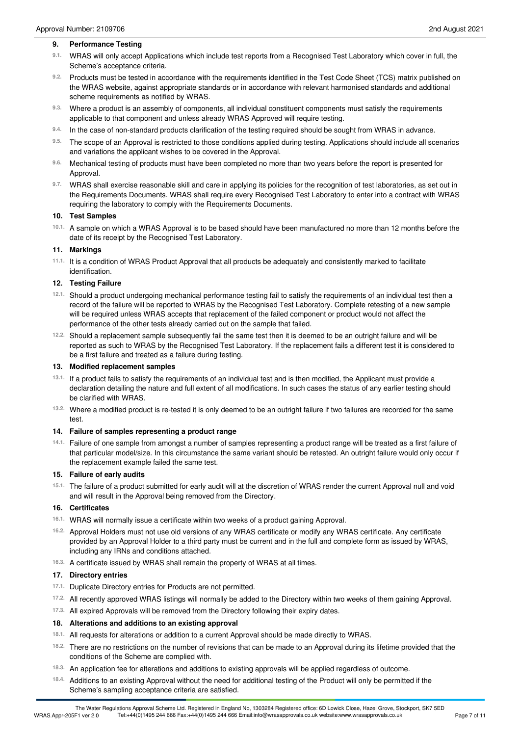#### **9. Performance Testing**

- <sup>9.1.</sup> WRAS will only accept Applications which include test reports from a Recognised Test Laboratory which cover in full, the<br>Scheme's acceptance criteria.
- 9.2. Products must be tested in accordance with the requirements identified in the Test Code Sheet (TCS) matrix published on the WRAS website, against appropriate standards or in accordance with relevant harmonised standards and additional scheme requirements as notified by WRAS.
- Where a product is an assembly of components, all individual constituent components must satisfy the requirements 9.3. Where a product is an assembly of components, all individual constituent components applicable to that component and unless already WRAS Approved will require testing.
- In the case of non-standard products clarification of the testing required should be sought from WRAS in advance. **9.4.**
- The scope of an Approval is restricted to those conditions applied during testing. Applications should include all scenarios 9.5. The scope of an Approval is restricted to those conditions applied and variations the applicant wishes to be covered in the Approval.
- Mechanical testing of products must have been completed no more than two years before the report is presented for Approval. **9.6.**
- WRAS shall exercise reasonable skill and care in applying its policies for the recognition of test laboratories, as set out in **9.7.** the Requirements Documents. WRAS shall require every Recognised Test Laboratory to enter into a contract with WRAS requiring the laboratory to comply with the Requirements Documents.

#### **10. Test Samples**

10.1. A sample on which a WRAS Approval is to be based should have been manufactured no more than 12 months before the date of its receipt by the Recognised Test Laboratory.

#### **11. Markings**

<sup>11.1.</sup> It is a condition of WRAS Product Approval that all products be adequately and consistently marked to facilitate<br>identification.

#### **12. Testing Failure**

- Should a product undergoing mechanical performance testing fail to satisfy the requirements of an individual test then a **12.1.** record of the failure will be reported to WRAS by the Recognised Test Laboratory. Complete retesting of a new sample will be required unless WRAS accepts that replacement of the failed component or product would not affect the performance of the other tests already carried out on the sample that failed.
- <sup>12.2.</sup> Should a replacement sample subsequently fail the same test then it is deemed to be an outright failure and will be reported as such to WRAS by the Recognised Test Laboratory. If the replacement fails a different test it is considered to be a first failure and treated as a failure during testing.

#### **13. Modified replacement samples**

- <sup>13.1.</sup> If a product fails to satisfy the requirements of an individual test and is then modified, the Applicant must provide a declaration detailing the nature and full extent of all modifications. In such cases the status of any earlier testing should be clarified with WRAS.
- Where a modified product is re-tested it is only deemed to be an outright failure if two failures are recorded for the same test. **13.2.**

#### **14. Failure of samples representing a product range**

Failure of one sample from amongst a number of samples representing a product range will be treated as a first failure of **14.1.** that particular model/size. In this circumstance the same variant should be retested. An outright failure would only occur if the replacement example failed the same test.

#### **15. Failure of early audits**

15.1. The failure of a product submitted for early audit will at the discretion of WRAS render the current Approval null and void and will result in the Approval being removed from the Directory.

#### **16. Certificates**

- WRAS will normally issue a certificate within two weeks of a product gaining Approval. **16.1.**
- <sup>16.2.</sup> Approval Holders must not use old versions of any WRAS certificate or modify any WRAS certificate. Any certificate provided by an Approval Holder to a third party must be current and in the full and complete form as issued by WRAS, including any IRNs and conditions attached.
- A certificate issued by WRAS shall remain the property of WRAS at all times. **16.3.**

#### **17. Directory entries**

- 17.1. Duplicate Directory entries for Products are not permitted.
- All recently approved WRAS listings will normally be added to the Directory within two weeks of them gaining Approval. **17.2.**
- <sup>17.3.</sup> All expired Approvals will be removed from the Directory following their expiry dates.

#### **18. Alterations and additions to an existing approval**

- 18.1. All requests for alterations or addition to a current Approval should be made directly to WRAS.
- There are no restrictions on the number of revisions that can be made to an Approval during its lifetime provided that the conditions of the Scheme are complied with. **18.2.**
- An application fee for alterations and additions to existing approvals will be applied regardless of outcome. **18.3.**
- Additions to an existing Approval without the need for additional testing of the Product will only be permitted if the Scheme's sampling acceptance criteria are satisfied. **18.4.**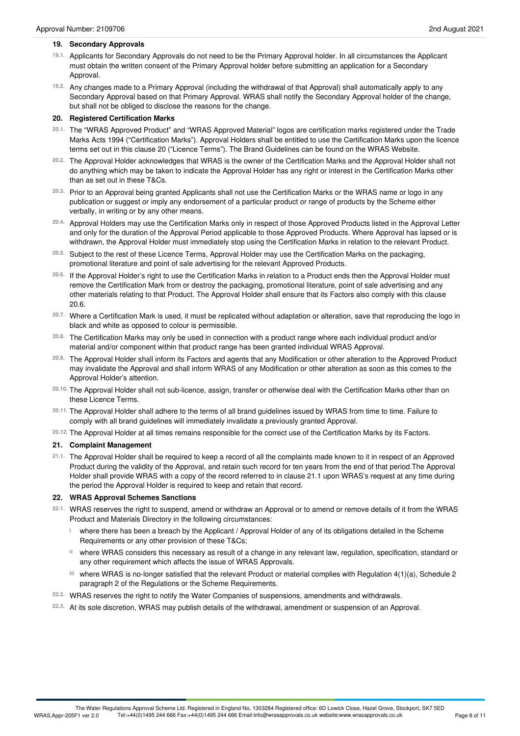- 19.1. Applicants for Secondary Approvals do not need to be the Primary Approval holder. In all circumstances the Applicant must obtain the written consent of the Primary Approval holder before submitting an application for a Secondary Approval.
- Any changes made to a Primary Approval (including the withdrawal of that Approval) shall automatically apply to any **19.2.** Secondary Approval based on that Primary Approval. WRAS shall notify the Secondary Approval holder of the change, but shall not be obliged to disclose the reasons for the change.

## **20. Registered Certification Marks**

- <sup>20.1.</sup> The "WRAS Approved Product" and "WRAS Approved Material" logos are certification marks registered under the Trade Marks Acts 1994 ("Certification Marks"). Approval Holders shall be entitled to use the Certification Marks upon the licence terms set out in this clause 20 ("Licence Terms"). The Brand Guidelines can be found on the WRAS Website.
- The Approval Holder acknowledges that WRAS is the owner of the Certification Marks and the Approval Holder shall not **20.2.** do anything which may be taken to indicate the Approval Holder has any right or interest in the Certification Marks other than as set out in these T&Cs.
- Prior to an Approval being granted Applicants shall not use the Certification Marks or the WRAS name or logo in any **20.3.** publication or suggest or imply any endorsement of a particular product or range of products by the Scheme either verbally, in writing or by any other means.
- <sup>20.4.</sup> Approval Holders may use the Certification Marks only in respect of those Approved Products listed in the Approval Letter and only for the duration of the Approval Period applicable to those Approved Products. Where Approval has lapsed or is withdrawn, the Approval Holder must immediately stop using the Certification Marks in relation to the relevant Product.
- Subject to the rest of these Licence Terms, Approval Holder may use the Certification Marks on the packaging, promotional literature and point of sale advertising for the relevant Approved Products. **20.5.**
- <sup>20.6.</sup> If the Approval Holder's right to use the Certification Marks in relation to a Product ends then the Approval Holder must remove the Certification Mark from or destroy the packaging, promotional literature, point of sale advertising and any other materials relating to that Product. The Approval Holder shall ensure that its Factors also comply with this clause 20.6.
- <sup>20.7.</sup> Where a Certification Mark is used, it must be replicated without adaptation or alteration, save that reproducing the logo in<br>black and white as opposed to colour is permissible.
- The Certification Marks may only be used in connection with a product range where each individual product and/or material and/or component within that product range has been granted individual WRAS Approval. **20.8.**
- The Approval Holder shall inform its Factors and agents that any Modification or other alteration to the Approved Product **20.9.** may invalidate the Approval and shall inform WRAS of any Modification or other alteration as soon as this comes to the Approval Holder's attention.
- The Approval Holder shall not sub-licence, assign, transfer or otherwise deal with the Certification Marks other than on these Licence Terms. **20.10.**
- <sup>20.11.</sup> The Approval Holder shall adhere to the terms of all brand guidelines issued by WRAS from time to time. Failure to<br>comply with all brand guidelines will immediately invalidate a previously granted Approval.
- The Approval Holder at all times remains responsible for the correct use of the Certification Marks by its Factors. **20.12.**

## **21. Complaint Management**

21.1. The Approval Holder shall be required to keep a record of all the complaints made known to it in respect of an Approved Product during the validity of the Approval, and retain such record for ten years from the end of that period.The Approval Holder shall provide WRAS with a copy of the record referred to in clause 21.1 upon WRAS's request at any time during the period the Approval Holder is required to keep and retain that record.

## **22. WRAS Approval Schemes Sanctions**

- WRAS reserves the right to suspend, amend or withdraw an Approval or to amend or remove details of it from the WRAS Product and Materials Directory in the following circumstances: **22.1.**
	- where there has been a breach by the Applicant / Approval Holder of any of its obligations detailed in the Scheme **i** Requirements or any other provision of these T&Cs;
	- where WRAS considers this necessary as result of a change in any relevant law, regulation, specification, standard or **ii** any other requirement which affects the issue of WRAS Approvals.
	- where WRAS is no-longer satisfied that the relevant Product or material complies with Regulation 4(1)(a), Schedule 2 **iii** paragraph 2 of the Regulations or the Scheme Requirements.
- WRAS reserves the right to notify the Water Companies of suspensions, amendments and withdrawals. **22.2.**
- At its sole discretion, WRAS may publish details of the withdrawal, amendment or suspension of an Approval. **22.3.**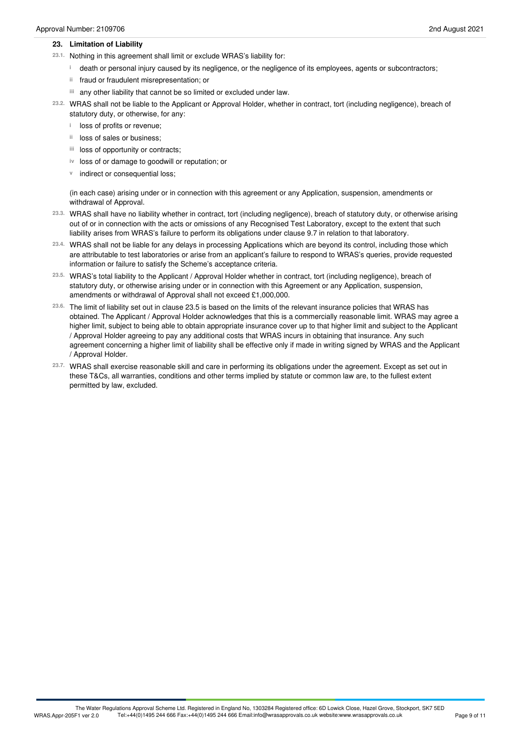#### **23. Limitation of Liability**

- 23.1. Nothing in this agreement shall limit or exclude WRAS's liability for:
	- death or personal injury caused by its negligence, or the negligence of its employees, agents or subcontractors; **i**
	- ii fraud or fraudulent misrepresentation; or
	- any other liability that cannot be so limited or excluded under law. **iii**
- WRAS shall not be liable to the Applicant or Approval Holder, whether in contract, tort (including negligence), breach of **23.2.** statutory duty, or otherwise, for any:
	- **i** loss of profits or revenue;
	- <sup>ii</sup> loss of sales or business;
	- iii loss of opportunity or contracts;
	- iv loss of or damage to goodwill or reputation; or
	- **v** indirect or consequential loss;

(in each case) arising under or in connection with this agreement or any Application, suspension, amendments or withdrawal of Approval.

- WRAS shall have no liability whether in contract, tort (including negligence), breach of statutory duty, or otherwise arising **23.3.** out of or in connection with the acts or omissions of any Recognised Test Laboratory, except to the extent that such liability arises from WRAS's failure to perform its obligations under clause 9.7 in relation to that laboratory.
- WRAS shall not be liable for any delays in processing Applications which are beyond its control, including those which **23.4.** are attributable to test laboratories or arise from an applicant's failure to respond to WRAS's queries, provide requested information or failure to satisfy the Scheme's acceptance criteria.
- WRAS's total liability to the Applicant / Approval Holder whether in contract, tort (including negligence), breach of **23.5.** statutory duty, or otherwise arising under or in connection with this Agreement or any Application, suspension, amendments or withdrawal of Approval shall not exceed £1,000,000.
- The limit of liability set out in clause 23.5 is based on the limits of the relevant insurance policies that WRAS has **23.6.** obtained. The Applicant / Approval Holder acknowledges that this is a commercially reasonable limit. WRAS may agree a higher limit, subject to being able to obtain appropriate insurance cover up to that higher limit and subject to the Applicant / Approval Holder agreeing to pay any additional costs that WRAS incurs in obtaining that insurance. Any such agreement concerning a higher limit of liability shall be effective only if made in writing signed by WRAS and the Applicant / Approval Holder.
- WRAS shall exercise reasonable skill and care in performing its obligations under the agreement. Except as set out in **23.7.** these T&Cs, all warranties, conditions and other terms implied by statute or common law are, to the fullest extent permitted by law, excluded.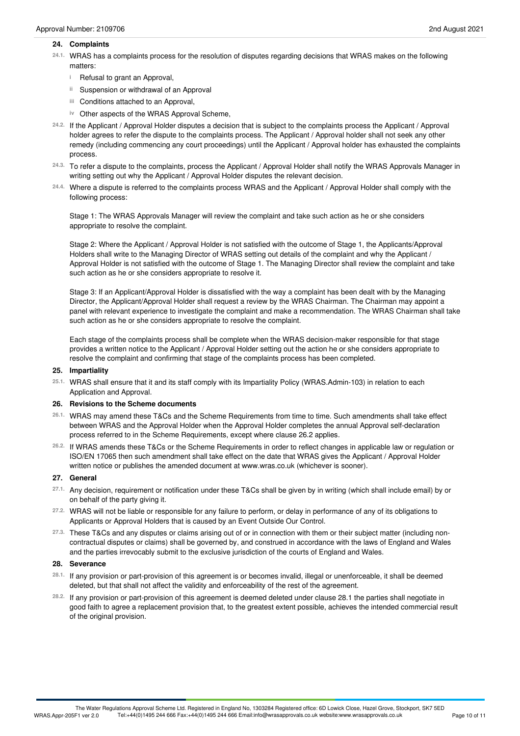#### **24. Complaints**

- WRAS has a complaints process for the resolution of disputes regarding decisions that WRAS makes on the following matters: **24.1.**
	- <sup>i</sup> Refusal to grant an Approval,
	- Suspension or withdrawal of an Approval **ii**
	- Conditions attached to an Approval, **iii**
	- iv Other aspects of the WRAS Approval Scheme,
- If the Applicant / Approval Holder disputes a decision that is subject to the complaints process the Applicant / Approval **24.2.** holder agrees to refer the dispute to the complaints process. The Applicant / Approval holder shall not seek any other remedy (including commencing any court proceedings) until the Applicant / Approval holder has exhausted the complaints process.
- To refer a dispute to the complaints, process the Applicant / Approval Holder shall notify the WRAS Approvals Manager in writing setting out why the Applicant / Approval Holder disputes the relevant decision. **24.3.**
- Where a dispute is referred to the complaints process WRAS and the Applicant / Approval Holder shall comply with the **24.4.** following process:

Stage 1: The WRAS Approvals Manager will review the complaint and take such action as he or she considers appropriate to resolve the complaint.

Stage 2: Where the Applicant / Approval Holder is not satisfied with the outcome of Stage 1, the Applicants/Approval Holders shall write to the Managing Director of WRAS setting out details of the complaint and why the Applicant / Approval Holder is not satisfied with the outcome of Stage 1. The Managing Director shall review the complaint and take such action as he or she considers appropriate to resolve it.

Stage 3: If an Applicant/Approval Holder is dissatisfied with the way a complaint has been dealt with by the Managing Director, the Applicant/Approval Holder shall request a review by the WRAS Chairman. The Chairman may appoint a panel with relevant experience to investigate the complaint and make a recommendation. The WRAS Chairman shall take such action as he or she considers appropriate to resolve the complaint.

Each stage of the complaints process shall be complete when the WRAS decision-maker responsible for that stage provides a written notice to the Applicant / Approval Holder setting out the action he or she considers appropriate to resolve the complaint and confirming that stage of the complaints process has been completed.

#### **25. Impartiality**

WRAS shall ensure that it and its staff comply with its Impartiality Policy (WRAS.Admin-103) in relation to each Application and Approval. **25.1.**

#### **26. Revisions to the Scheme documents**

- WRAS may amend these T&Cs and the Scheme Requirements from time to time. Such amendments shall take effect **26.1.** between WRAS and the Approval Holder when the Approval Holder completes the annual Approval self-declaration process referred to in the Scheme Requirements, except where clause 26.2 applies.
- If WRAS amends these T&Cs or the Scheme Requirements in order to reflect changes in applicable law or regulation or **26.2.** ISO/EN 17065 then such amendment shall take effect on the date that WRAS gives the Applicant / Approval Holder written notice or publishes the amended document at www.wras.co.uk (whichever is sooner).

#### **27. General**

- Any decision, requirement or notification under these T&Cs shall be given by in writing (which shall include email) by or on behalf of the party giving it. **27.1.**
- 27.2. WRAS will not be liable or responsible for any failure to perform, or delay in performance of any of its obligations to Applicants or Approval Holders that is caused by an Event Outside Our Control. **27.2.**
- These T&Cs and any disputes or claims arising out of or in connection with them or their subject matter (including non- **27.3.** contractual disputes or claims) shall be governed by, and construed in accordance with the laws of England and Wales and the parties irrevocably submit to the exclusive jurisdiction of the courts of England and Wales.

#### **28. Severance**

- <sup>28.1.</sup> If any provision or part-provision of this agreement is or becomes invalid, illegal or unenforceable, it shall be deemed<br>deleted, but that shall not affect the validity and enforceability of the rest of the agreeme
- If any provision or part-provision of this agreement is deemed deleted under clause 28.1 the parties shall negotiate in **28.2.** good faith to agree a replacement provision that, to the greatest extent possible, achieves the intended commercial result of the original provision.